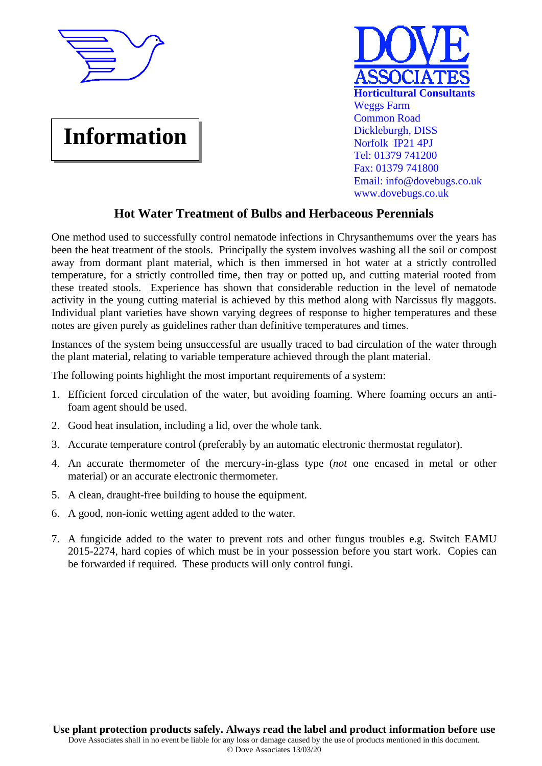

## **Information**



## **Hot Water Treatment of Bulbs and Herbaceous Perennials**

One method used to successfully control nematode infections in Chrysanthemums over the years has been the heat treatment of the stools. Principally the system involves washing all the soil or compost away from dormant plant material, which is then immersed in hot water at a strictly controlled temperature, for a strictly controlled time, then tray or potted up, and cutting material rooted from these treated stools. Experience has shown that considerable reduction in the level of nematode activity in the young cutting material is achieved by this method along with Narcissus fly maggots. Individual plant varieties have shown varying degrees of response to higher temperatures and these notes are given purely as guidelines rather than definitive temperatures and times.

Instances of the system being unsuccessful are usually traced to bad circulation of the water through the plant material, relating to variable temperature achieved through the plant material.

The following points highlight the most important requirements of a system:

- 1. Efficient forced circulation of the water, but avoiding foaming. Where foaming occurs an antifoam agent should be used.
- 2. Good heat insulation, including a lid, over the whole tank.
- 3. Accurate temperature control (preferably by an automatic electronic thermostat regulator).
- 4. An accurate thermometer of the mercury-in-glass type (*not* one encased in metal or other material) or an accurate electronic thermometer.
- 5. A clean, draught-free building to house the equipment.
- 6. A good, non-ionic wetting agent added to the water.
- 7. A fungicide added to the water to prevent rots and other fungus troubles e.g. Switch EAMU 2015-2274, hard copies of which must be in your possession before you start work. Copies can be forwarded if required. These products will only control fungi.